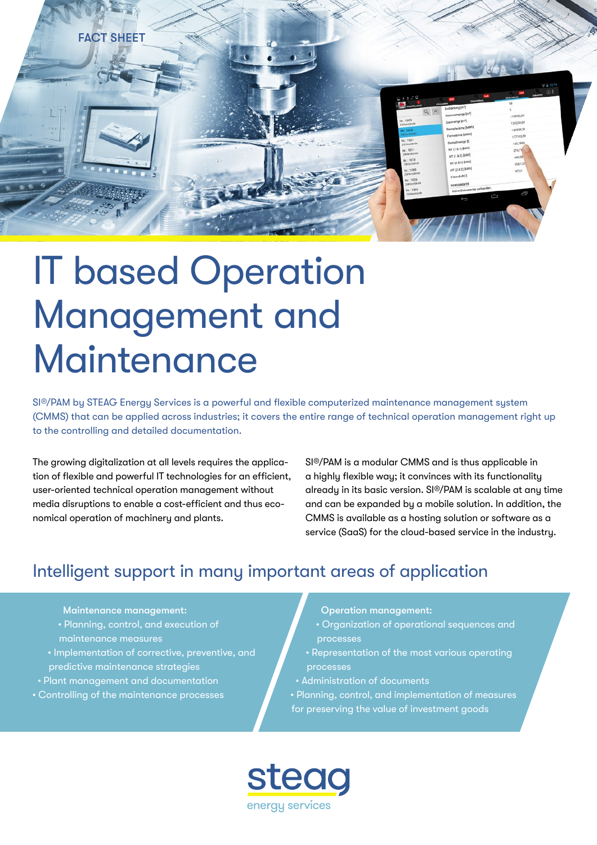

# IT based Operation Management and Maintenance

SI®/PAM by STEAG Energy Services is a powerful and flexible computerized maintenance management system (CMMS) that can be applied across industries; it covers the entire range of technical operation management right up to the controlling and detailed documentation.

The growing digitalization at all levels requires the application of flexible and powerful IT technologies for an efficient, user-oriented technical operation management without media disruptions to enable a cost-efficient and thus economical operation of machinery and plants.

SI®/PAM is a modular CMMS and is thus applicable in a highly flexible way; it convinces with its functionality already in its basic version. SI®/PAM is scalable at any time and can be expanded by a mobile solution. In addition, the CMMS is available as a hosting solution or software as a service (SaaS) for the cloud-based service in the industry.

## Intelligent support in many important areas of application

Maintenance management:

- Planning, control, and execution of maintenance measures
- Implementation of corrective, preventive, and predictive maintenance strategies
- Plant management and documentation
- Controlling of the maintenance processes

Operation management:

- Organization of operational sequences and processes
- Representation of the most various operating processes
- Administration of documents
- Planning, control, and implementation of measures for preserving the value of investment goods